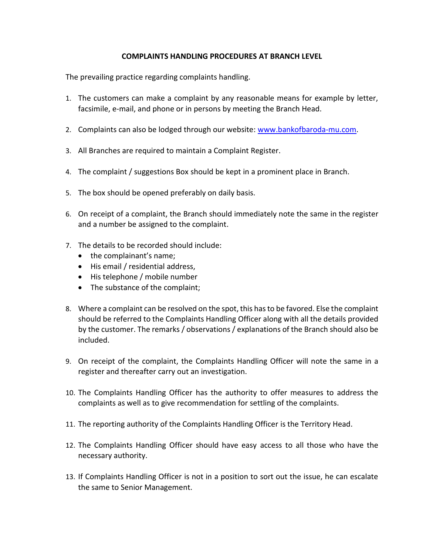## **COMPLAINTS HANDLING PROCEDURES AT BRANCH LEVEL**

The prevailing practice regarding complaints handling.

- 1. The customers can make a complaint by any reasonable means for example by letter, facsimile, e-mail, and phone or in persons by meeting the Branch Head.
- 2. Complaints can also be lodged through our website: [www.bankofbaroda-mu.com.](http://www.bankofbaroda-mu.com/)
- 3. All Branches are required to maintain a Complaint Register.
- 4. The complaint / suggestions Box should be kept in a prominent place in Branch.
- 5. The box should be opened preferably on daily basis.
- 6. On receipt of a complaint, the Branch should immediately note the same in the register and a number be assigned to the complaint.
- 7. The details to be recorded should include:
	- the complainant's name;
	- His email / residential address,
	- His telephone / mobile number
	- The substance of the complaint;
- 8. Where a complaint can be resolved on the spot, this has to be favored. Else the complaint should be referred to the Complaints Handling Officer along with all the details provided by the customer. The remarks / observations / explanations of the Branch should also be included.
- 9. On receipt of the complaint, the Complaints Handling Officer will note the same in a register and thereafter carry out an investigation.
- 10. The Complaints Handling Officer has the authority to offer measures to address the complaints as well as to give recommendation for settling of the complaints.
- 11. The reporting authority of the Complaints Handling Officer is the Territory Head.
- 12. The Complaints Handling Officer should have easy access to all those who have the necessary authority.
- 13. If Complaints Handling Officer is not in a position to sort out the issue, he can escalate the same to Senior Management.